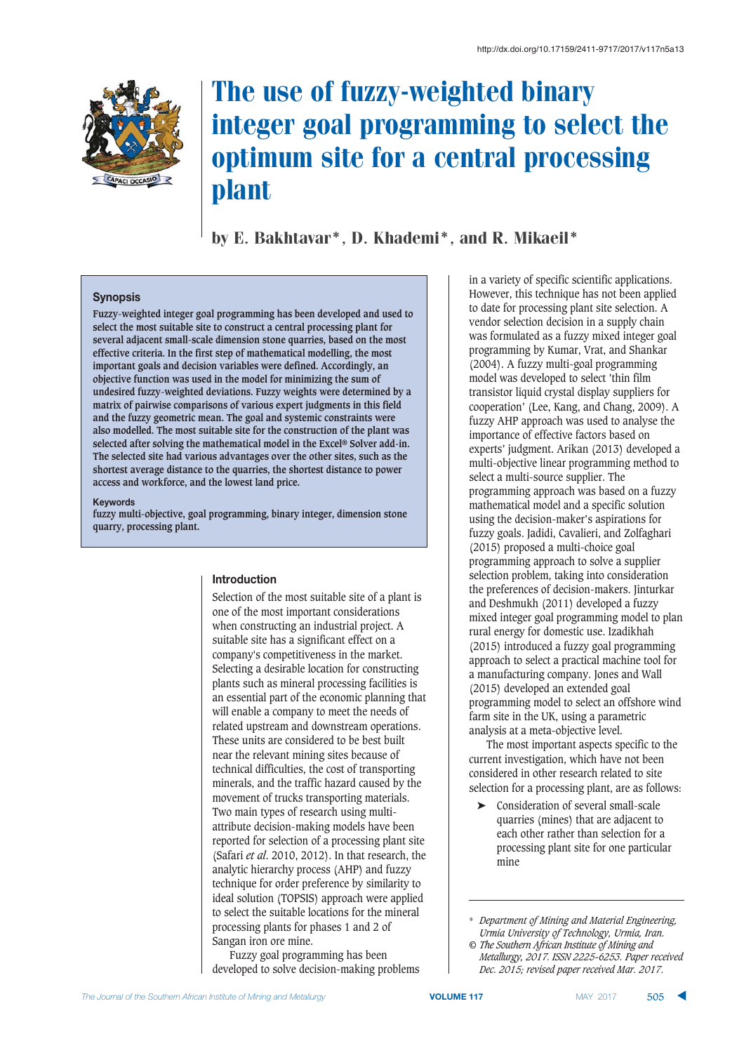

# The use of fuzzy-weighted binary integer goal programming to select the optimum site for a central processing plant

by E. Bakhtavar\*, D. Khademi\*, and R. Mikaeil\*

#### **Synopsis**

**Fuzzy-weighted integer goal programming has been developed and used to select the most suitable site to construct a central processing plant for several adjacent small-scale dimension stone quarries, based on the most effective criteria. In the first step of mathematical modelling, the most important goals and decision variables were defined. Accordingly, an objective function was used in the model for minimizing the sum of undesired fuzzy-weighted deviations. Fuzzy weights were determined by a matrix of pairwise comparisons of various expert judgments in this field and the fuzzy geometric mean. The goal and systemic constraints were also modelled. The most suitable site for the construction of the plant was selected after solving the mathematical model in the Excel® Solver add-in. The selected site had various advantages over the other sites, such as the shortest average distance to the quarries, the shortest distance to power access and workforce, and the lowest land price.**

#### **Kevwords**

**fuzzy multi-objective, goal programming, binary integer, dimension stone quarry, processing plant.**

#### **Introduction**

Selection of the most suitable site of a plant is one of the most important considerations when constructing an industrial project. A suitable site has a significant effect on a company's competitiveness in the market. Selecting a desirable location for constructing plants such as mineral processing facilities is an essential part of the economic planning that will enable a company to meet the needs of related upstream and downstream operations. These units are considered to be best built near the relevant mining sites because of technical difficulties, the cost of transporting minerals, and the traffic hazard caused by the movement of trucks transporting materials. Two main types of research using multiattribute decision-making models have been reported for selection of a processing plant site (Safari *et al*. 2010, 2012). In that research, the analytic hierarchy process (AHP) and fuzzy technique for order preference by similarity to ideal solution (TOPSIS) approach were applied to select the suitable locations for the mineral processing plants for phases 1 and 2 of Sangan iron ore mine.

Fuzzy goal programming has been developed to solve decision-making problems in a variety of specific scientific applications. However, this technique has not been applied to date for processing plant site selection. A vendor selection decision in a supply chain was formulated as a fuzzy mixed integer goal programming by Kumar, Vrat, and Shankar (2004). A fuzzy multi-goal programming model was developed to select 'thin film transistor liquid crystal display suppliers for cooperation' (Lee, Kang, and Chang, 2009). A fuzzy AHP approach was used to analyse the importance of effective factors based on experts' judgment. Arikan (2013) developed a multi-objective linear programming method to select a multi-source supplier. The programming approach was based on a fuzzy mathematical model and a specific solution using the decision-maker's aspirations for fuzzy goals. Jadidi, Cavalieri, and Zolfaghari (2015) proposed a multi-choice goal programming approach to solve a supplier selection problem, taking into consideration the preferences of decision-makers. Jinturkar and Deshmukh (2011) developed a fuzzy mixed integer goal programming model to plan rural energy for domestic use. Izadikhah (2015) introduced a fuzzy goal programming approach to select a practical machine tool for a manufacturing company. Jones and Wall (2015) developed an extended goal programming model to select an offshore wind farm site in the UK, using a parametric analysis at a meta-objective level.

The most important aspects specific to the current investigation, which have not been considered in other research related to site selection for a processing plant, are as follows:

➤ Consideration of several small-scale quarries (mines) that are adjacent to each other rather than selection for a processing plant site for one particular mine

<sup>\*</sup> *Department of Mining and Material Engineering, Urmia University of Technology, Urmia, Iran.*

*<sup>©</sup> The Southern African Institute of Mining and Metallurgy, 2017. ISSN 2225-6253. Paper received Dec. 2015; revised paper received Mar. 2017.*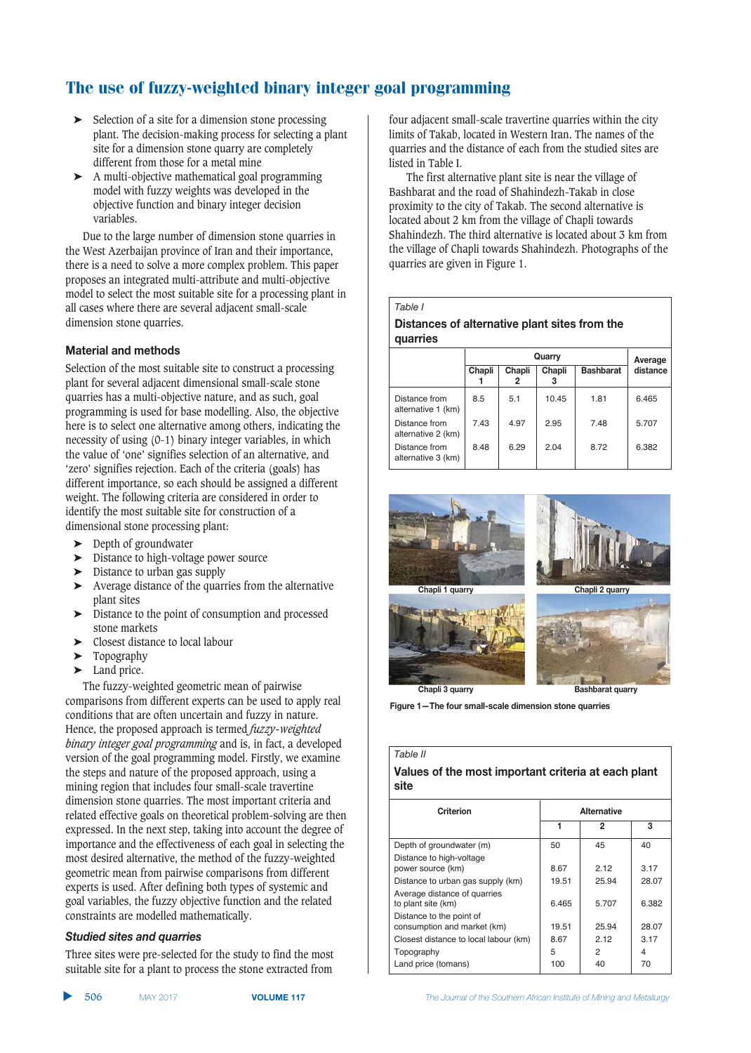- $\blacktriangleright$  Selection of a site for a dimension stone processing plant. The decision-making process for selecting a plant site for a dimension stone quarry are completely different from those for a metal mine
- ➤ A multi-objective mathematical goal programming model with fuzzy weights was developed in the objective function and binary integer decision variables.

Due to the large number of dimension stone quarries in the West Azerbaijan province of Iran and their importance, there is a need to solve a more complex problem. This paper proposes an integrated multi-attribute and multi-objective model to select the most suitable site for a processing plant in all cases where there are several adjacent small-scale dimension stone quarries.

#### **Material and methods**

Selection of the most suitable site to construct a processing plant for several adjacent dimensional small-scale stone quarries has a multi-objective nature, and as such, goal programming is used for base modelling. Also, the objective here is to select one alternative among others, indicating the necessity of using (0-1) binary integer variables, in which the value of 'one' signifies selection of an alternative, and 'zero' signifies rejection. Each of the criteria (goals) has different importance, so each should be assigned a different weight. The following criteria are considered in order to identify the most suitable site for construction of a dimensional stone processing plant:

- ➤ Depth of groundwater
- ➤ Distance to high-voltage power source
- $\triangleright$  Distance to urban gas supply
- ➤ Average distance of the quarries from the alternative plant sites
- ➤ Distance to the point of consumption and processed stone markets
- ➤ Closest distance to local labour
- ➤ Topography
- ► Land price.

The fuzzy-weighted geometric mean of pairwise comparisons from different experts can be used to apply real conditions that are often uncertain and fuzzy in nature. Hence, the proposed approach is termed *fuzzy-weighted binary integer goal programming* and is, in fact, a developed version of the goal programming model. Firstly, we examine the steps and nature of the proposed approach, using a mining region that includes four small-scale travertine dimension stone quarries. The most important criteria and related effective goals on theoretical problem-solving are then expressed. In the next step, taking into account the degree of importance and the effectiveness of each goal in selecting the most desired alternative, the method of the fuzzy-weighted geometric mean from pairwise comparisons from different experts is used. After defining both types of systemic and goal variables, the fuzzy objective function and the related constraints are modelled mathematically.

#### **Studied sites and quarries**

Three sites were pre-selected for the study to find the most suitable site for a plant to process the stone extracted from

▲ 506 MAY 2017 four adjacent small-scale travertine quarries within the city limits of Takab, located in Western Iran. The names of the quarries and the distance of each from the studied sites are listed in Table I.

The first alternative plant site is near the village of Bashbarat and the road of Shahindezh-Takab in close proximity to the city of Takab. The second alternative is located about 2 km from the village of Chapli towards Shahindezh. The third alternative is located about 3 km from the village of Chapli towards Shahindezh. Photographs of the quarries are given in Figure 1.

#### *Table I*

#### **Distances of alternative plant sites from the**  $quarries$

|                                     |        | Average     |        |                  |          |  |  |
|-------------------------------------|--------|-------------|--------|------------------|----------|--|--|
|                                     | Chapli | Chapli<br>2 | Chapli | <b>Bashbarat</b> | distance |  |  |
| Distance from<br>alternative 1 (km) | 8.5    | 5.1         | 10.45  | 1.81             | 6.465    |  |  |
| Distance from<br>alternative 2 (km) | 7.43   | 4.97        | 2.95   | 7.48             | 5.707    |  |  |
| Distance from<br>alternative 3 (km) | 8.48   | 6.29        | 2.04   | 8.72             | 6.382    |  |  |



**Figure 1-The four small-scale dimension stone quarries** 

*Table II*

#### Values of the most important criteria at each plant  $site$

| <b>Alternative</b> |       |       |  |  |  |  |  |
|--------------------|-------|-------|--|--|--|--|--|
| 1                  | 2     | 3     |  |  |  |  |  |
| 50                 | 45    | 40    |  |  |  |  |  |
|                    |       |       |  |  |  |  |  |
| 8.67               | 2 12  | 3.17  |  |  |  |  |  |
| 19.51              | 25.94 | 28.07 |  |  |  |  |  |
|                    |       |       |  |  |  |  |  |
| 6.465              | 5.707 | 6.382 |  |  |  |  |  |
|                    |       |       |  |  |  |  |  |
| 19.51              | 25.94 | 28.07 |  |  |  |  |  |
| 8.67               | 2 12  | 3.17  |  |  |  |  |  |
| 5                  | 2     | 4     |  |  |  |  |  |
| 100                | 40    | 70    |  |  |  |  |  |
|                    |       |       |  |  |  |  |  |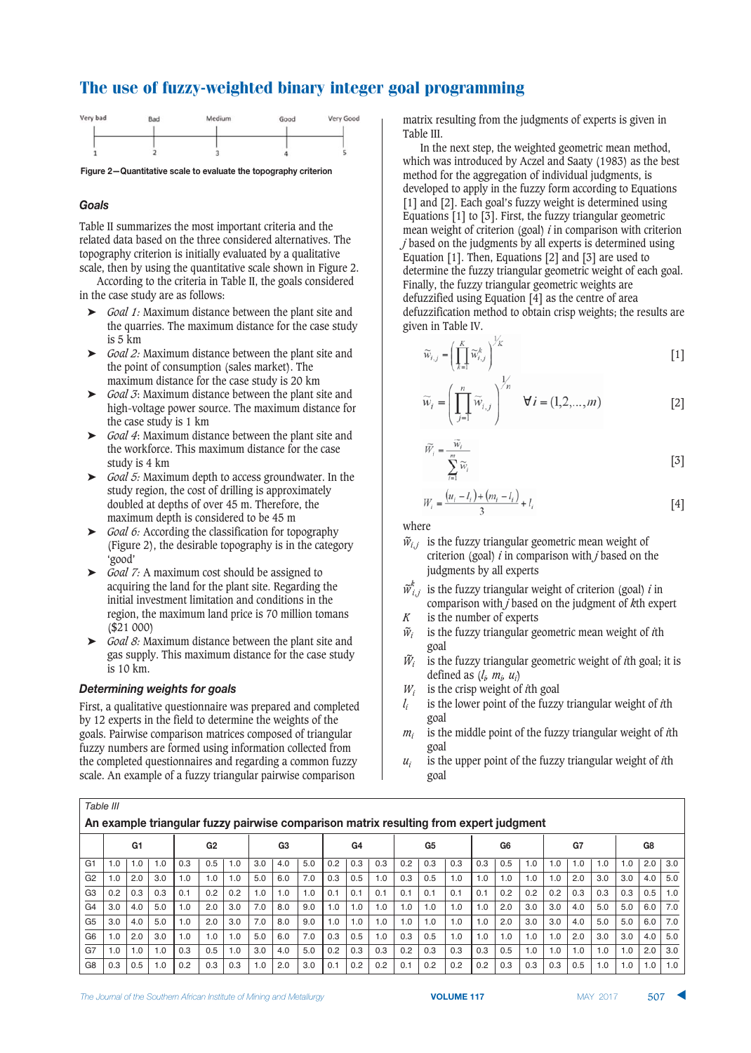

#### **Goals**

Table II summarizes the most important criteria and the related data based on the three considered alternatives. The topography criterion is initially evaluated by a qualitative scale, then by using the quantitative scale shown in Figure 2.

According to the criteria in Table II, the goals considered in the case study are as follows:

- ➤ *Goal 1:* Maximum distance between the plant site and the quarries. The maximum distance for the case study is 5 km
- ➤ *Goal 2:* Maximum distance between the plant site and the point of consumption (sales market). The maximum distance for the case study is 20 km
- ➤ *Goal 3*: Maximum distance between the plant site and high-voltage power source. The maximum distance for the case study is 1 km
- ➤ *Goal 4*: Maximum distance between the plant site and the workforce. This maximum distance for the case study is 4 km
- ➤ *Goal 5:* Maximum depth to access groundwater. In the study region, the cost of drilling is approximately doubled at depths of over 45 m. Therefore, the maximum depth is considered to be 45 m
- ➤ *Goal 6:* According the classification for topography (Figure 2), the desirable topography is in the category 'good'
- ➤ *Goal 7:* A maximum cost should be assigned to acquiring the land for the plant site. Regarding the initial investment limitation and conditions in the region, the maximum land price is 70 million tomans (\$21 000)
- ➤ *Goal 8:* Maximum distance between the plant site and gas supply. This maximum distance for the case study is 10 km.

#### Determining weights for goals

*Table III*

First, a qualitative questionnaire was prepared and completed by 12 experts in the field to determine the weights of the goals. Pairwise comparison matrices composed of triangular fuzzy numbers are formed using information collected from the completed questionnaires and regarding a common fuzzy scale. An example of a fuzzy triangular pairwise comparison

matrix resulting from the judgments of experts is given in Table III.

In the next step, the weighted geometric mean method, which was introduced by Aczel and Saaty (1983) as the best method for the aggregation of individual judgments, is developed to apply in the fuzzy form according to Equations [1] and [2]. Each goal's fuzzy weight is determined using Equations [1] to [3]. First, the fuzzy triangular geometric mean weight of criterion (goal) *i* in comparison with criterion *j* based on the judgments by all experts is determined using Equation [1]. Then, Equations [2] and [3] are used to determine the fuzzy triangular geometric weight of each goal. Finally, the fuzzy triangular geometric weights are defuzzified using Equation [4] as the centre of area defuzzification method to obtain crisp weights; the results are given in Table IV.

$$
\widetilde{w}_{i,j} = \left(\prod_{k=1}^{K} \widetilde{w}_{i,j}^k\right)^{\frac{1}{K}}
$$
 [1]

$$
\widetilde{w}_i = \left(\prod_{j=1}^n \widetilde{w}_{i,j}\right)^{\gamma_n} \quad \forall i = (1,2,\dots,m) \tag{2}
$$

$$
\widetilde{W}_i = \frac{\widetilde{W}_i}{\sum_{i=1}^m \widetilde{W}_i}
$$
 [3]

$$
W_i = \frac{(u_i - l_i) + (m_i - l_i)}{3} + l_i
$$
 [4]

where

- $\tilde{w}_{i,j}$  is the fuzzy triangular geometric mean weight of criterion (goal) *i* in comparison with *j* based on the judgments by all experts
- $\widetilde{w}_i^k$ is the fuzzy triangular weight of criterion (goal) *i* in comparison with *j* based on the judgment of *k*th expert *K* is the number of experts
- 
- *w ~ <sup>i</sup>* is the fuzzy triangular geometric mean weight of *i*th goal
- *W ~ <sup>i</sup>* is the fuzzy triangular geometric weight of *i*th goal; it is defined as  $(l_i, m_i, u_i)$
- *Wi* is the crisp weight of *i*th goal
- *li* is the lower point of the fuzzy triangular weight of *i*th goal
- *mi* is the middle point of the fuzzy triangular weight of *i*th goal
- $u_i$  is the upper point of the fuzzy triangular weight of *i*th goal

|                | , university                                                                          |     |     |                |     |     |     |     |     |                |     |                |     |     |     |     |     |     |     |     |     |     |     |     |
|----------------|---------------------------------------------------------------------------------------|-----|-----|----------------|-----|-----|-----|-----|-----|----------------|-----|----------------|-----|-----|-----|-----|-----|-----|-----|-----|-----|-----|-----|-----|
|                | An example triangular fuzzy pairwise comparison matrix resulting from expert judgment |     |     |                |     |     |     |     |     |                |     |                |     |     |     |     |     |     |     |     |     |     |     |     |
|                | G1                                                                                    |     |     | G <sub>2</sub> |     | G3  |     | G4  |     | G <sub>5</sub> |     | G <sub>6</sub> |     |     | G7  |     |     | G8  |     |     |     |     |     |     |
| G <sub>1</sub> | 1.0                                                                                   | 1.0 | 1.0 | 0.3            | 0.5 | 1.0 | 3.0 | 4.0 | 5.0 | 0.2            | 0.3 | 0.3            | 0.2 | 0.3 | 0.3 | 0.3 | 0.5 | 1.0 | 1.0 | 1.0 | 1.0 | 1.0 | 2.0 | 3.0 |
| G <sub>2</sub> | 1.0                                                                                   | 2.0 | 3.0 | 1.0            | 1.0 | 1.0 | 5.0 | 6.0 | 7.0 | 0.3            | 0.5 | 1.0            | 0.3 | 0.5 | 1.0 | 1.0 | 1.0 | 1.0 | 1.0 | 2.0 | 3.0 | 3.0 | 4.0 | 5.0 |
| G <sub>3</sub> | 0.2                                                                                   | 0.3 | 0.3 | 0.1            | 0.2 | 0.2 | 1.0 | 1.0 | 1.0 | 0.1            | 0.1 | 0.1            | 0.1 | 0.1 | 0.1 | 0.1 | 0.2 | 0.2 | 0.2 | 0.3 | 0.3 | 0.3 | 0.5 | 1.0 |
| G <sub>4</sub> | 3.0                                                                                   | 4.0 | 5.0 | 1.0            | 2.0 | 3.0 | 7.0 | 8.0 | 9.0 | 1.0            | 1.0 | 1.0            | 1.0 | 1.0 | 1.0 | 1.0 | 2.0 | 3.0 | 3.0 | 4.0 | 5.0 | 5.0 | 6.0 | 7.0 |
| G <sub>5</sub> | 3.0                                                                                   | 4.0 | 5.0 | 1.0            | 2.0 | 3.0 | 7.0 | 8.0 | 9.0 | 1.0            | 1.0 | 1.0            | 1.0 | 1.0 | 1.0 | 1.0 | 2.0 | 3.0 | 3.0 | 4.0 | 5.0 | 5.0 | 6.0 | 7.0 |
| G <sub>6</sub> | 1.0                                                                                   | 2.0 | 3.0 | 1.0            | 1.0 | 1.0 | 5.0 | 6.0 | 7.0 | 0.3            | 0.5 | 1.0            | 0.3 | 0.5 | 1.0 | 1.0 | 1.0 | 1.0 | 1.0 | 2.0 | 3.0 | 3.0 | 4.0 | 5.0 |
| G7             | 1.0                                                                                   | 1.0 | 1.0 | 0.3            | 0.5 | 1.0 | 3.0 | 4.0 | 5.0 | 0.2            | 0.3 | 0.3            | 0.2 | 0.3 | 0.3 | 0.3 | 0.5 | 1.0 | 1.0 | 1.0 | 1.0 | 1.0 | 2.0 | 3.0 |
| G <sub>8</sub> | 0.3                                                                                   | 0.5 | 1.0 | 0.2            | 0.3 | 0.3 | 1.0 | 2.0 | 3.0 | 0.1            | 0.2 | 0.2            | 0.1 | 0.2 | 0.2 | 0.2 | 0.3 | 0.3 | 0.3 | 0.5 | 1.0 | 1.0 | 1.0 | 1.0 |

 **VOLUME 117** -

507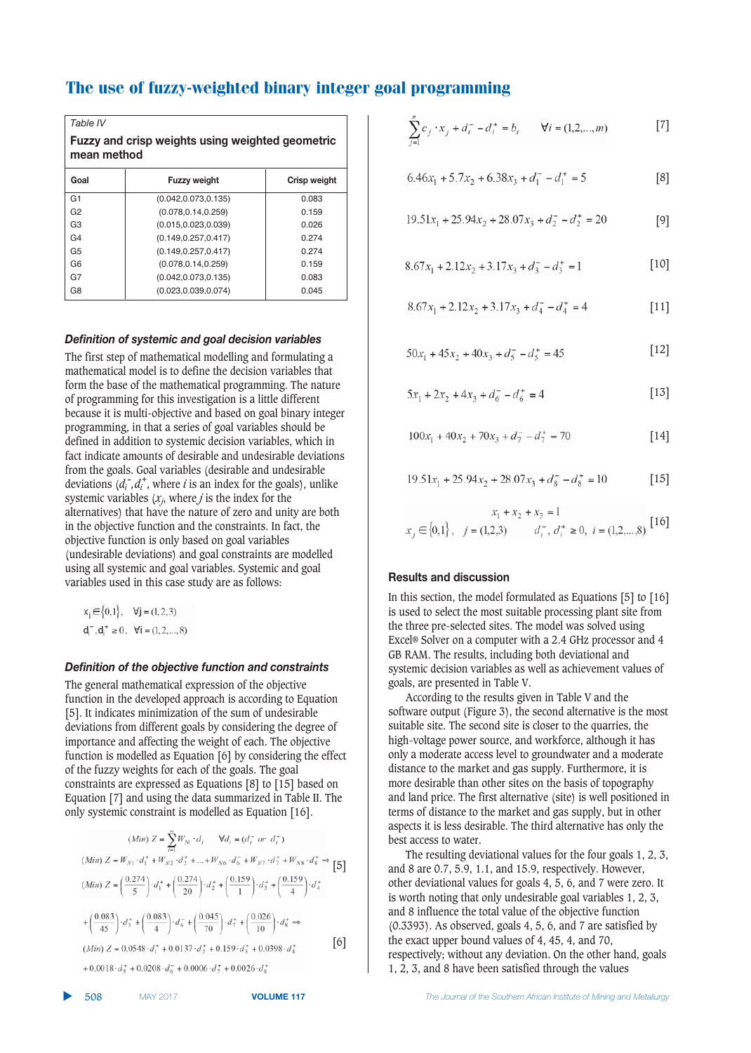| Table IV                                                               |                       |              |  |  |  |  |  |  |  |  |
|------------------------------------------------------------------------|-----------------------|--------------|--|--|--|--|--|--|--|--|
| <b>Fuzzy and crisp weights using weighted geometric</b><br>mean method |                       |              |  |  |  |  |  |  |  |  |
| Goal                                                                   | <b>Fuzzy weight</b>   | Crisp weight |  |  |  |  |  |  |  |  |
| G1                                                                     | (0.042, 0.073, 0.135) | 0.083        |  |  |  |  |  |  |  |  |
| G <sub>2</sub>                                                         | (0.078, 0.14, 0.259)  | 0.159        |  |  |  |  |  |  |  |  |
| G3                                                                     | (0.015, 0.023, 0.039) | 0.026        |  |  |  |  |  |  |  |  |
| G4                                                                     | (0.149.0.257.0.417)   | 0.274        |  |  |  |  |  |  |  |  |
| G5                                                                     | (0.149.0.257.0.417)   | 0.274        |  |  |  |  |  |  |  |  |
| G6                                                                     | (0.078, 0.14, 0.259)  | 0.159        |  |  |  |  |  |  |  |  |
| G7                                                                     | (0.042, 0.073, 0.135) | 0.083        |  |  |  |  |  |  |  |  |
| G8                                                                     | (0.023, 0.039, 0.074) | 0.045        |  |  |  |  |  |  |  |  |

#### Definition of systemic and goal decision variables

The first step of mathematical modelling and formulating a mathematical model is to define the decision variables that form the base of the mathematical programming. The nature of programming for this investigation is a little different because it is multi-objective and based on goal binary integer programming, in that a series of goal variables should be defined in addition to systemic decision variables, which in fact indicate amounts of desirable and undesirable deviations from the goals. Goal variables (desirable and undesirable deviations  $(d_i^-, d_i^+)$ , where *i* is an index for the goals), unlike systemic variables (*xj* , where *j* is the index for the alternatives) that have the nature of zero and unity are both in the objective function and the constraints. In fact, the objective function is only based on goal variables (undesirable deviations) and goal constraints are modelled using all systemic and goal variables. Systemic and goal variables used in this case study are as follows:

$$
x_j \in \{0, 1\}, \quad \forall j = (1, 2, 3)
$$
  

$$
d_i^-, d_i^+ \ge 0, \quad \forall i = (1, 2, ..., 8)
$$

#### 

The general mathematical expression of the objective function in the developed approach is according to Equation [5]. It indicates minimization of the sum of undesirable deviations from different goals by considering the degree of importance and affecting the weight of each. The objective function is modelled as Equation [6] by considering the effect of the fuzzy weights for each of the goals. The goal constraints are expressed as Equations [8] to [15] based on Equation [7] and using the data summarized in Table II. The only systemic constraint is modelled as Equation [16].

$$
(Min) Z = \sum_{i=1}^{m} W_{N_i} \cdot d_i \qquad \forall d_i = (d_i^- \text{ or } d_i^+)
$$
  
\n
$$
(Min) Z = W_{N1} \cdot d_1^+ + W_{N2} \cdot d_2^+ + \dots + W_{N6} \cdot d_6^- + W_{N7} \cdot d_7^+ + W_{N8} \cdot d_8^+ \Rightarrow [5]
$$
  
\n
$$
(Min) Z = \left(\frac{0.274}{5}\right) \cdot d_1^+ + \left(\frac{0.274}{20}\right) \cdot d_2^+ + \left(\frac{0.159}{1}\right) \cdot d_3^+ + \left(\frac{0.159}{4}\right) \cdot d_4^+
$$
  
\n
$$
+ \left(\frac{0.083}{45}\right) \cdot d_5^+ + \left(\frac{0.083}{4}\right) \cdot d_6^- + \left(\frac{0.045}{70}\right) \cdot d_7^+ + \left(\frac{0.026}{10}\right) \cdot d_8^+ \Rightarrow
$$
  
\n
$$
(Min) Z = 0.0548 \cdot d_1^+ + 0.0137 \cdot d_2^+ + 0.159 \cdot d_3^+ + 0.0398 \cdot d_4^+
$$
  
\n
$$
+ 0.0018 \cdot d_4^+ + 0.0208 \cdot d_7^- + 0.0006 \cdot d_7^+ + 0.0026 \cdot d_7^+
$$
  
\n
$$
+ 0.0018 \cdot d_4^+ + 0.0208 \cdot d_7^- + 0.0006 \cdot d_7^+ + 0.0026 \cdot d_7^+
$$

$$
\sum_{j=1}^{n} c_j \cdot x_j + d_i^- - d_i^+ = b_i \qquad \forall i = (1, 2, ..., m)
$$
 [7]

$$
6.46x_1 + 5.7x_2 + 6.38x_3 + d_1^- - d_1^+ = 5
$$
 [8]

$$
19.51x_1 + 25.94x_2 + 28.07x_3 + d_2^ - - d_2^ + = 20
$$
 [9]

$$
8.67x_1 + 2.12x_2 + 3.17x_3 + d_3^- - d_3^+ = 1
$$
 [10]

$$
8.67x_1 + 2.12x_2 + 3.17x_3 + d_4^- - d_4^+ = 4
$$
 [11]

$$
50x_1 + 45x_2 + 40x_3 + d_5 - d_5^+ = 45
$$
 [12]

$$
5x_1 + 2x_2 + 4x_3 + d_6^- - d_6^+ = 4
$$
 [13]

$$
100x_1 + 40x_2 + 70x_3 + d_7^- - d_7^+ = 70 \tag{14}
$$

$$
19.51x_1 + 25.94x_2 + 28.07x_3 + d_8 - d_8^+ = 10
$$
 [15]

$$
x_1 + x_2 + x_3 = 1
$$
  

$$
x_j \in \{0, 1\}, \quad j = (1, 2, 3) \qquad d_i^-, d_i^+ \ge 0, \quad i = (1, 2, \dots, 8) \quad [16]
$$

#### **Results and discussion**

In this section, the model formulated as Equations [5] to [16] is used to select the most suitable processing plant site from the three pre-selected sites. The model was solved using Excel® Solver on a computer with a 2.4 GHz processor and 4 GB RAM. The results, including both deviational and systemic decision variables as well as achievement values of goals, are presented in Table V.

According to the results given in Table V and the software output (Figure 3), the second alternative is the most suitable site. The second site is closer to the quarries, the high-voltage power source, and workforce, although it has only a moderate access level to groundwater and a moderate distance to the market and gas supply. Furthermore, it is more desirable than other sites on the basis of topography and land price. The first alternative (site) is well positioned in terms of distance to the market and gas supply, but in other aspects it is less desirable. The third alternative has only the best access to water.

The resulting deviational values for the four goals 1, 2, 3, and 8 are 0.7, 5.9, 1.1, and 15.9, respectively. However, other deviational values for goals 4, 5, 6, and 7 were zero. It is worth noting that only undesirable goal variables 1, 2, 3, and 8 influence the total value of the objective function (0.3393). As observed, goals 4, 5, 6, and 7 are satisfied by the exact upper bound values of 4, 45, 4, and 70, respectively; without any deviation. On the other hand, goals 1, 2, 3, and 8 have been satisfied through the values

508 -

▲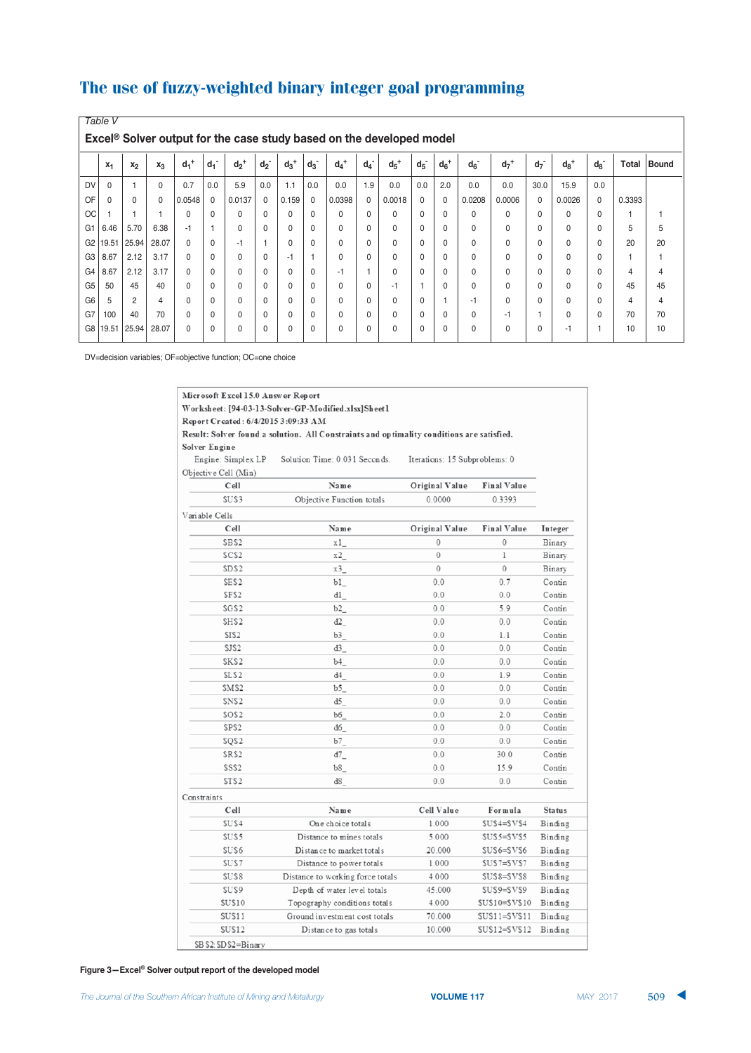|                | Table V                                                                          |                |          |                    |                                   |                    |                    |                    |                    |                    |       |                    |                    |          |          |                    |                    |                    |          |        |              |
|----------------|----------------------------------------------------------------------------------|----------------|----------|--------------------|-----------------------------------|--------------------|--------------------|--------------------|--------------------|--------------------|-------|--------------------|--------------------|----------|----------|--------------------|--------------------|--------------------|----------|--------|--------------|
|                | Excel <sup>®</sup> Solver output for the case study based on the developed model |                |          |                    |                                   |                    |                    |                    |                    |                    |       |                    |                    |          |          |                    |                    |                    |          |        |              |
|                | $X_1$                                                                            | $x_2$          | $x_3$    | $d_1$ <sup>+</sup> | $\overline{\phantom{a}}$<br>$d_1$ | $d_2$ <sup>+</sup> | $d_2$ <sup>-</sup> | $d_3$ <sup>+</sup> | $d_3$ <sup>-</sup> | $d_4$ <sup>+</sup> | $d_4$ | $d_5$ <sup>+</sup> | $d_5$ <sup>-</sup> | $d_6^+$  | $d_6$    | $d_7$ <sup>+</sup> | $d_7$ <sup>-</sup> | $d_8$ <sup>+</sup> | $d_8$    | Total  | <b>Bound</b> |
| <b>DV</b>      | $\Omega$                                                                         | $\overline{1}$ | $\Omega$ | 0.7                | 0.0                               | 5.9                | 0.0                | 1.1                | 0.0                | 0.0                | 1.9   | 0.0                | 0.0                | 2.0      | 0.0      | 0.0                | 30.0               | 15.9               | 0.0      |        |              |
| OF             | 0                                                                                | $\Omega$       | 0        | 0.0548             | $\mathbf 0$                       | 0.0137             | $\mathbf 0$        | 0.159              | 0                  | 0.0398             | 0     | 0.0018             | $\Omega$           | $\Omega$ | 0.0208   | 0.0006             | 0                  | 0.0026             | 0        | 0.3393 |              |
| <b>OC</b>      |                                                                                  | $\overline{1}$ |          | $\Omega$           | $\Omega$                          | 0                  | $\Omega$           | $\Omega$           | $\Omega$           | $\Omega$           | 0     | $\Omega$           | $\Omega$           | $\Omega$ | 0        | 0                  | 0                  | $\Omega$           | $\Omega$ |        |              |
| G <sub>1</sub> | 6.46                                                                             | 5.70           | 6.38     | $-1$               |                                   | 0                  | $\Omega$           | $\Omega$           | $\Omega$           | $\Omega$           | 0     | $\Omega$           | $\Omega$           | $\Omega$ | $\Omega$ | $\Omega$           | $\Omega$           | $\Omega$           | $\Omega$ | 5      | 5            |
| G <sub>2</sub> | 19.51                                                                            | 25.94          | 28.07    | $\Omega$           | $\Omega$                          | $-1$               |                    | $\Omega$           | $\Omega$           | $\Omega$           | 0     | $\Omega$           | $\Omega$           | $\Omega$ | $\Omega$ | 0                  | 0                  | $\Omega$           | $\Omega$ | 20     | 20           |
| G <sub>3</sub> | 8.67                                                                             | 2.12           | 3.17     | $\Omega$           | $\Omega$                          | 0                  | $\Omega$           | $-1$               |                    | $\Omega$           | 0     | $\Omega$           | $\Omega$           | $\Omega$ | $\Omega$ | 0                  | 0                  | $\Omega$           | $\Omega$ |        |              |
| G <sub>4</sub> | 8.67                                                                             | 2.12           | 3.17     | $\Omega$           | $\Omega$                          | 0                  | $\Omega$           | $\Omega$           | $\Omega$           | $-1$               |       | $\Omega$           | $\Omega$           | $\Omega$ | $\Omega$ | 0                  | 0                  | $\Omega$           | $\Omega$ | 4      | 4            |
| G <sub>5</sub> | 50                                                                               | 45             | 40       | $\Omega$           | $\Omega$                          | 0                  | $\Omega$           | 0                  | $\Omega$           | $\Omega$           | 0     | $-1$               | и                  | $\Omega$ | $\Omega$ | $\Omega$           | 0                  | $\Omega$           | 0        | 45     | 45           |
| G <sub>6</sub> | 5                                                                                | 2              | 4        | $\Omega$           | $\Omega$                          | $\Omega$           | $\Omega$           | $\Omega$           | $\Omega$           | $\Omega$           | 0     | $\Omega$           | $\Omega$           |          | $-1$     | 0                  | 0                  | $\Omega$           | $\Omega$ | 4      | 4            |
| G7             | 100                                                                              | 40             | 70       | $\Omega$           | $\Omega$                          | 0                  | $\Omega$           | $\Omega$           | $\Omega$           | $\Omega$           | 0     | $\Omega$           | $\Omega$           | $\Omega$ | $\Omega$ | $-1$               |                    | $\Omega$           | $\Omega$ | 70     | 70           |
| G <sub>8</sub> | 19.51                                                                            | 25.94          | 28.07    | 0                  | 0                                 | 0                  | $\Omega$           | 0                  | $\Omega$           | 0                  | 0     | $\mathbf 0$        | $\mathbf{0}$       | $\Omega$ | $\Omega$ | 0                  | 0                  | $-1$               |          | 10     | 10           |

DV=decision variables; OF=objective function; OC=one choice

| Microsoft Excel 15.0 Answer Report                                                        |                                                       |                                  |                |                    |               |  |  |  |  |  |  |  |
|-------------------------------------------------------------------------------------------|-------------------------------------------------------|----------------------------------|----------------|--------------------|---------------|--|--|--|--|--|--|--|
| Worksheet: [94-03-13-Solver-GP-Modified.xlsx] Sheet 1                                     |                                                       |                                  |                |                    |               |  |  |  |  |  |  |  |
| Report Created: 6/4/2015 3:09:33 AM                                                       |                                                       |                                  |                |                    |               |  |  |  |  |  |  |  |
| Result: Solver found a solution. All Constraints and optimality conditions are satisfied. |                                                       |                                  |                |                    |               |  |  |  |  |  |  |  |
| Solver Engine                                                                             |                                                       |                                  |                |                    |               |  |  |  |  |  |  |  |
| Engine: Simplex LP<br>Solution Time: 0.031 Seconds.<br>Iterations: 15 Subproblems: 0      |                                                       |                                  |                |                    |               |  |  |  |  |  |  |  |
|                                                                                           | Objective Cell (Min)                                  |                                  |                |                    |               |  |  |  |  |  |  |  |
|                                                                                           | Cell                                                  | Name                             | Original Value | <b>Final Value</b> |               |  |  |  |  |  |  |  |
|                                                                                           | SUS3<br>Objective Function totals<br>0.0000<br>0.3393 |                                  |                |                    |               |  |  |  |  |  |  |  |
|                                                                                           | Variable Cells                                        |                                  |                |                    |               |  |  |  |  |  |  |  |
|                                                                                           | Cell                                                  | Name                             | Original Value | <b>Final Value</b> | Integer       |  |  |  |  |  |  |  |
|                                                                                           | SBS <sub>2</sub>                                      | x 1                              | $\mathbf{0}$   | $\mathbf{0}$       | Binary        |  |  |  |  |  |  |  |
|                                                                                           | SCS <sub>2</sub>                                      | x2                               | $\mathbf{0}$   | 1                  | Binary        |  |  |  |  |  |  |  |
|                                                                                           | SDS <sub>2</sub>                                      | x3                               | 0              | 0                  | Binary        |  |  |  |  |  |  |  |
|                                                                                           | SES <sub>2</sub>                                      | b1                               | 0.0            | 0.7                | Contin        |  |  |  |  |  |  |  |
|                                                                                           | SFS <sub>2</sub>                                      | d1                               | 0.0            | 0.0                | Contin        |  |  |  |  |  |  |  |
|                                                                                           | SGS2                                                  | b2                               | 0.0            | 5.9                | Contin        |  |  |  |  |  |  |  |
|                                                                                           | SHS <sub>2</sub>                                      | d2                               | 0.0            | 0.0                | Contin        |  |  |  |  |  |  |  |
|                                                                                           | SIS <sub>2</sub>                                      | b3                               | 0.0            | 1.1                | Contin        |  |  |  |  |  |  |  |
|                                                                                           | SJS2                                                  | d3                               | 0.0            | 0.0                | Contin        |  |  |  |  |  |  |  |
|                                                                                           | SKS2                                                  | b4                               | 0.0            | 0.0                | Contin        |  |  |  |  |  |  |  |
|                                                                                           | SLS <sub>2</sub>                                      | d4                               | 0.0            | 1.9                | Contin        |  |  |  |  |  |  |  |
|                                                                                           | SMS2                                                  | b5                               | 0.0            | 0.0                | Contin        |  |  |  |  |  |  |  |
|                                                                                           | SNS <sub>2</sub>                                      | d5                               | 0.0            | 0.0                | Contin        |  |  |  |  |  |  |  |
|                                                                                           | SOS <sub>2</sub>                                      | b6                               | 0.0            | 2.0                | Contin        |  |  |  |  |  |  |  |
|                                                                                           | SPS2                                                  | d6                               | 0.0            | 0.0                | Contin        |  |  |  |  |  |  |  |
|                                                                                           | SQS <sub>2</sub>                                      | b7                               | 0.0            | 0.0                | Contin        |  |  |  |  |  |  |  |
|                                                                                           | SRS2                                                  | d7                               | 0.0            | 30.0               | Contin        |  |  |  |  |  |  |  |
|                                                                                           | SSS <sub>2</sub>                                      | b8                               | 0.0            | 15.9               | Contin        |  |  |  |  |  |  |  |
|                                                                                           | STS <sub>2</sub>                                      | d8                               | 0.0            | 0.0                | Contin        |  |  |  |  |  |  |  |
|                                                                                           | Constraints                                           |                                  |                |                    |               |  |  |  |  |  |  |  |
|                                                                                           | Cell                                                  | Name                             | Cell Value     | Formula            | <b>Status</b> |  |  |  |  |  |  |  |
|                                                                                           | SUS4                                                  | One choice totals                | 1.000          | $SUS4 = SVS4$      | Binding       |  |  |  |  |  |  |  |
|                                                                                           | SUS5                                                  | Distance to mines totals         | 5.000          | $SUS5 = SVS5$      | Binding       |  |  |  |  |  |  |  |
|                                                                                           | SUS6                                                  | Distance to market totals        | 20.000         | SUS6=SVS6          | Binding       |  |  |  |  |  |  |  |
|                                                                                           | SUS7                                                  | Distance to power totals         | 1.000          | SUS7=SVS7          | Binding       |  |  |  |  |  |  |  |
|                                                                                           | SUS8                                                  | Distance to working force totals | 4.000          | SUS8=SVS8          | Binding       |  |  |  |  |  |  |  |
|                                                                                           | SUS9                                                  | Depth of water level totals      | 45.000         | SUS9=SVS9          | Binding       |  |  |  |  |  |  |  |
|                                                                                           | <b>SUS10</b>                                          | Topography conditions totals     | 4.000          | $SUS10 = SVS10$    | Binding       |  |  |  |  |  |  |  |
|                                                                                           | SUS11                                                 | Ground investment cost totals    | 70.000         | $SUS11 = SVS11$    | Binding       |  |  |  |  |  |  |  |
|                                                                                           | SUS12                                                 | Distance to gas totals           | 10.000         | $SUS12 = SVS12$    | Binding       |  |  |  |  |  |  |  |
|                                                                                           | SB \$2: \$D\$2=Binary                                 |                                  |                |                    |               |  |  |  |  |  |  |  |

#### Figure 3-Excel<sup>®</sup> Solver output report of the developed model